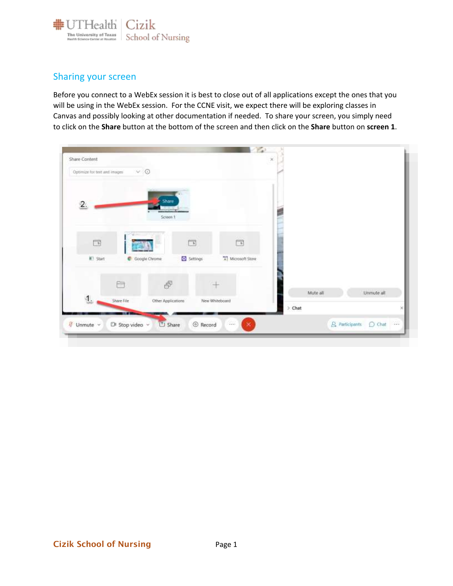

## Sharing your screen

Before you connect to a WebEx session it is best to close out of all applications except the ones that you will be using in the WebEx session. For the CCNE visit, we expect there will be exploring classes in Canvas and possibly looking at other documentation if needed. To share your screen, you simply need to click on the **Share** button at the bottom of the screen and then click on the **Share** button on **screen 1**.

| Share Content                |                                                        |             |                              | $\propto$   |          |                                                          |
|------------------------------|--------------------------------------------------------|-------------|------------------------------|-------------|----------|----------------------------------------------------------|
| Optimize for test and images | $\vee$ $\odot$                                         |             |                              |             |          |                                                          |
| 2.                           | Share<br><b>Antiquipers</b><br>Screen 1                |             |                              |             |          |                                                          |
|                              |                                                        | $\boxed{1}$ | $\Box$                       |             |          |                                                          |
| IE! Start                    | C Google Chrome                                        | Settings    | [4] Microsoft Store          |             |          |                                                          |
|                              | F<br>Ò                                                 |             |                              |             | Mute all | Unmute all.                                              |
| $\mathbf{1}$                 | Share File<br>Other Applications                       |             | New Whiteboard               | $\geq$ Chat |          |                                                          |
| Unmute v                     | <b>TELEVISION</b><br>Di Stop video v<br><b>C</b> Share | © Record    | $\frac{1}{2}$<br>$\mathbf x$ |             |          | $\bigcirc$ Chat $\cdots$<br>$\mathcal{Q}_a$ Participants |